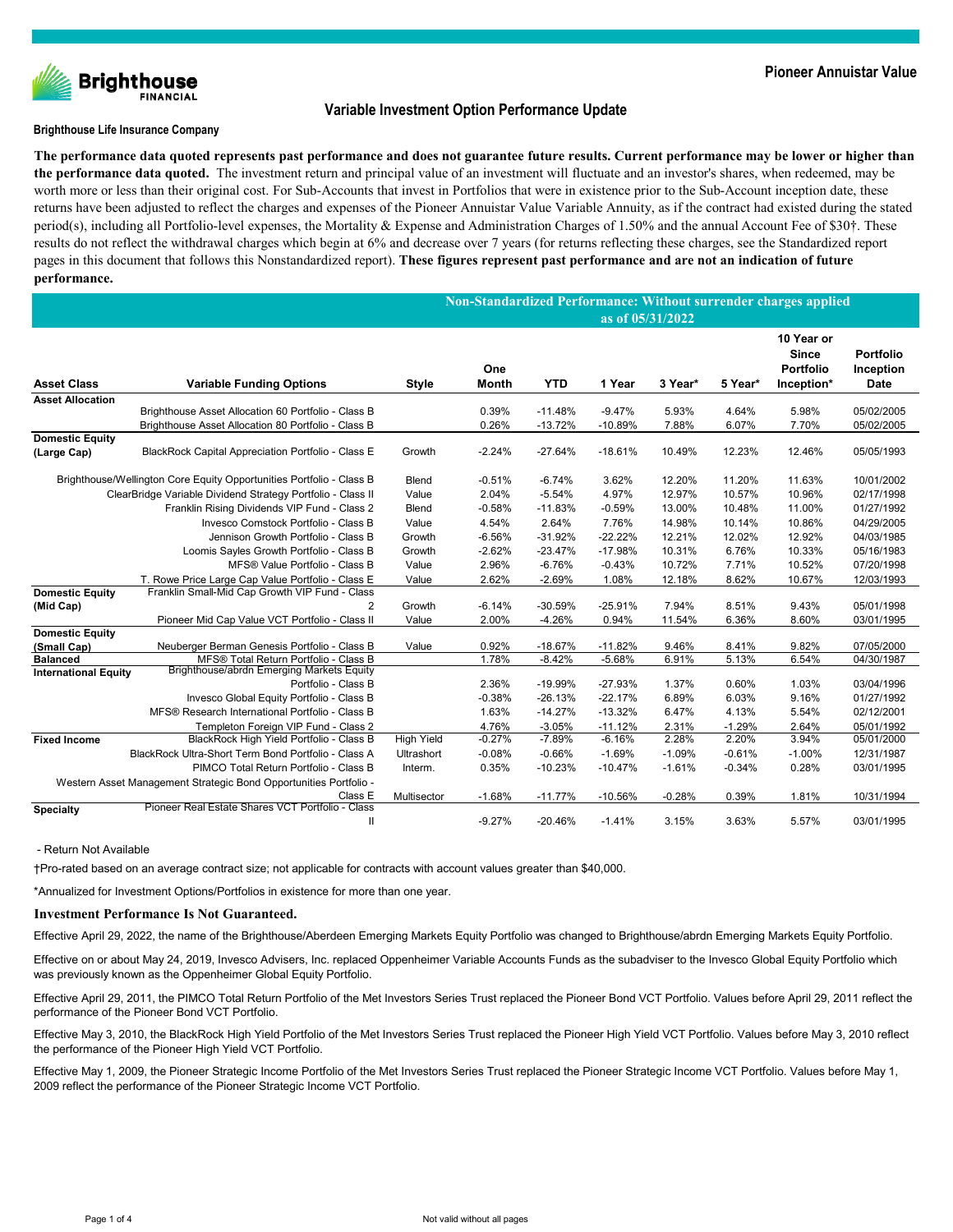

# **Variable Investment Option Performance Update**

### **Brighthouse Life Insurance Company**

**The performance data quoted represents past performance and does not guarantee future results. Current performance may be lower or higher than the performance data quoted.** The investment return and principal value of an investment will fluctuate and an investor's shares, when redeemed, may be worth more or less than their original cost. For Sub-Accounts that invest in Portfolios that were in existence prior to the Sub-Account inception date, these returns have been adjusted to reflect the charges and expenses of the Pioneer Annuistar Value Variable Annuity, as if the contract had existed during the stated period(s), including all Portfolio-level expenses, the Mortality & Expense and Administration Charges of 1.50% and the annual Account Fee of \$30†. These results do not reflect the withdrawal charges which begin at 6% and decrease over 7 years (for returns reflecting these charges, see the Standardized report pages in this document that follows this Nonstandardized report). **These figures represent past performance and are not an indication of future performance.**

|                                                                      |                                                                                                            |                   | Non-Standardized Performance: Without surrender charges applied<br>as of 05/31/2022 |                        |                       |                |                |                                                       |                                       |  |
|----------------------------------------------------------------------|------------------------------------------------------------------------------------------------------------|-------------------|-------------------------------------------------------------------------------------|------------------------|-----------------------|----------------|----------------|-------------------------------------------------------|---------------------------------------|--|
|                                                                      |                                                                                                            |                   |                                                                                     |                        |                       |                |                |                                                       |                                       |  |
| <b>Asset Class</b>                                                   | <b>Variable Funding Options</b>                                                                            | Style             | One<br><b>Month</b>                                                                 | <b>YTD</b>             | 1 Year                | 3 Year*        | 5 Year*        | 10 Year or<br><b>Since</b><br>Portfolio<br>Inception* | Portfolio<br>Inception<br><b>Date</b> |  |
| <b>Asset Allocation</b>                                              |                                                                                                            |                   |                                                                                     |                        |                       |                |                |                                                       |                                       |  |
|                                                                      | Brighthouse Asset Allocation 60 Portfolio - Class B<br>Brighthouse Asset Allocation 80 Portfolio - Class B |                   | 0.39%<br>0.26%                                                                      | $-11.48%$<br>$-13.72%$ | $-9.47%$<br>$-10.89%$ | 5.93%<br>7.88% | 4.64%<br>6.07% | 5.98%<br>7.70%                                        | 05/02/2005<br>05/02/2005              |  |
| <b>Domestic Equity</b><br>(Large Cap)                                | BlackRock Capital Appreciation Portfolio - Class E                                                         | Growth            | $-2.24%$                                                                            | $-27.64%$              | $-18.61%$             | 10.49%         | 12.23%         | 12.46%                                                | 05/05/1993                            |  |
| Brighthouse/Wellington Core Equity Opportunities Portfolio - Class B |                                                                                                            | Blend             | $-0.51%$                                                                            | $-6.74%$               | 3.62%                 | 12.20%         | 11.20%         | 11.63%                                                | 10/01/2002                            |  |
|                                                                      | ClearBridge Variable Dividend Strategy Portfolio - Class II                                                | Value             | 2.04%                                                                               | $-5.54%$               | 4.97%                 | 12.97%         | 10.57%         | 10.96%                                                | 02/17/1998                            |  |
|                                                                      | Franklin Rising Dividends VIP Fund - Class 2                                                               | <b>Blend</b>      | $-0.58%$                                                                            | $-11.83%$              | $-0.59%$              | 13.00%         | 10.48%         | 11.00%                                                | 01/27/1992                            |  |
|                                                                      | Invesco Comstock Portfolio - Class B                                                                       | Value             | 4.54%                                                                               | 2.64%                  | 7.76%                 | 14.98%         | 10.14%         | 10.86%                                                | 04/29/2005                            |  |
|                                                                      | Jennison Growth Portfolio - Class B                                                                        | Growth            | $-6.56%$                                                                            | $-31.92%$              | $-22.22%$             | 12.21%         | 12.02%         | 12.92%                                                | 04/03/1985                            |  |
|                                                                      | Loomis Sayles Growth Portfolio - Class B                                                                   | Growth            | $-2.62%$                                                                            | $-23.47%$              | $-17.98%$             | 10.31%         | 6.76%          | 10.33%                                                | 05/16/1983                            |  |
|                                                                      | MFS® Value Portfolio - Class B                                                                             | Value             | 2.96%                                                                               | $-6.76%$               | $-0.43%$              | 10.72%         | 7.71%          | 10.52%                                                | 07/20/1998                            |  |
|                                                                      | T. Rowe Price Large Cap Value Portfolio - Class E                                                          | Value             | 2.62%                                                                               | $-2.69%$               | 1.08%                 | 12.18%         | 8.62%          | 10.67%                                                | 12/03/1993                            |  |
| <b>Domestic Equity</b>                                               | Franklin Small-Mid Cap Growth VIP Fund - Class                                                             |                   |                                                                                     |                        |                       |                |                |                                                       |                                       |  |
| (Mid Cap)                                                            | 2                                                                                                          | Growth            | $-6.14%$                                                                            | $-30.59%$              | $-25.91%$             | 7.94%          | 8.51%          | 9.43%                                                 | 05/01/1998                            |  |
|                                                                      | Pioneer Mid Cap Value VCT Portfolio - Class II                                                             | Value             | 2.00%                                                                               | $-4.26%$               | 0.94%                 | 11.54%         | 6.36%          | 8.60%                                                 | 03/01/1995                            |  |
| <b>Domestic Equity</b>                                               |                                                                                                            |                   |                                                                                     |                        |                       |                |                |                                                       |                                       |  |
| (Small Cap)                                                          | Neuberger Berman Genesis Portfolio - Class B                                                               | Value             | 0.92%                                                                               | $-18.67%$              | $-11.82%$             | 9.46%          | 8.41%          | 9.82%                                                 | 07/05/2000                            |  |
| <b>Balanced</b>                                                      | MFS® Total Return Portfolio - Class B<br>Brighthouse/abrdn Emerging Markets Equity                         |                   | 1.78%                                                                               | $-8.42%$               | $-5.68%$              | 6.91%          | 5.13%          | 6.54%                                                 | 04/30/1987                            |  |
| <b>International Equity</b>                                          | Portfolio - Class B                                                                                        |                   | 2.36%                                                                               | -19.99%                | $-27.93%$             | 1.37%          | 0.60%          | 1.03%                                                 | 03/04/1996                            |  |
|                                                                      | Invesco Global Equity Portfolio - Class B                                                                  |                   | $-0.38%$                                                                            | $-26.13%$              | $-22.17%$             | 6.89%          | 6.03%          | 9.16%                                                 | 01/27/1992                            |  |
|                                                                      | MFS® Research International Portfolio - Class B                                                            |                   | 1.63%                                                                               | $-14.27%$              | $-13.32%$             | 6.47%          | 4.13%          | 5.54%                                                 | 02/12/2001                            |  |
|                                                                      | Templeton Foreign VIP Fund - Class 2                                                                       |                   | 4.76%                                                                               | $-3.05%$               | $-11.12%$             | 2.31%          | $-1.29%$       | 2.64%                                                 | 05/01/1992                            |  |
| <b>Fixed Income</b>                                                  | BlackRock High Yield Portfolio - Class B                                                                   | <b>High Yield</b> | $-0.27%$                                                                            | $-7.89%$               | $-6.16%$              | 2.28%          | 2.20%          | 3.94%                                                 | 05/01/2000                            |  |
|                                                                      | BlackRock Ultra-Short Term Bond Portfolio - Class A                                                        | <b>Ultrashort</b> | $-0.08%$                                                                            | $-0.66%$               | $-1.69%$              | $-1.09%$       | $-0.61%$       | $-1.00%$                                              | 12/31/1987                            |  |
|                                                                      | PIMCO Total Return Portfolio - Class B                                                                     | Interm.           | 0.35%                                                                               | $-10.23%$              | $-10.47%$             | $-1.61%$       | $-0.34%$       | 0.28%                                                 | 03/01/1995                            |  |
|                                                                      | Western Asset Management Strategic Bond Opportunities Portfolio -                                          |                   |                                                                                     |                        |                       |                |                |                                                       |                                       |  |
|                                                                      | Class E                                                                                                    | Multisector       | $-1.68%$                                                                            | $-11.77%$              | $-10.56%$             | $-0.28%$       | 0.39%          | 1.81%                                                 | 10/31/1994                            |  |
| <b>Specialty</b>                                                     | Pioneer Real Estate Shares VCT Portfolio - Class                                                           |                   |                                                                                     |                        |                       |                |                |                                                       |                                       |  |
|                                                                      | $\mathbf{I}$                                                                                               |                   | $-9.27%$                                                                            | $-20.46%$              | $-1.41%$              | 3.15%          | 3.63%          | 5.57%                                                 | 03/01/1995                            |  |

- Return Not Available

†Pro-rated based on an average contract size; not applicable for contracts with account values greater than \$40,000.

\*Annualized for Investment Options/Portfolios in existence for more than one year.

### **Investment Performance Is Not Guaranteed.**

Effective April 29, 2022, the name of the Brighthouse/Aberdeen Emerging Markets Equity Portfolio was changed to Brighthouse/abrdn Emerging Markets Equity Portfolio.

Effective on or about May 24, 2019, Invesco Advisers, Inc. replaced Oppenheimer Variable Accounts Funds as the subadviser to the Invesco Global Equity Portfolio which was previously known as the Oppenheimer Global Equity Portfolio.

Effective April 29, 2011, the PIMCO Total Return Portfolio of the Met Investors Series Trust replaced the Pioneer Bond VCT Portfolio. Values before April 29, 2011 reflect the performance of the Pioneer Bond VCT Portfolio.

Effective May 3, 2010, the BlackRock High Yield Portfolio of the Met Investors Series Trust replaced the Pioneer High Yield VCT Portfolio. Values before May 3, 2010 reflect the performance of the Pioneer High Yield VCT Portfolio.

Effective May 1, 2009, the Pioneer Strategic Income Portfolio of the Met Investors Series Trust replaced the Pioneer Strategic Income VCT Portfolio. Values before May 1, 2009 reflect the performance of the Pioneer Strategic Income VCT Portfolio.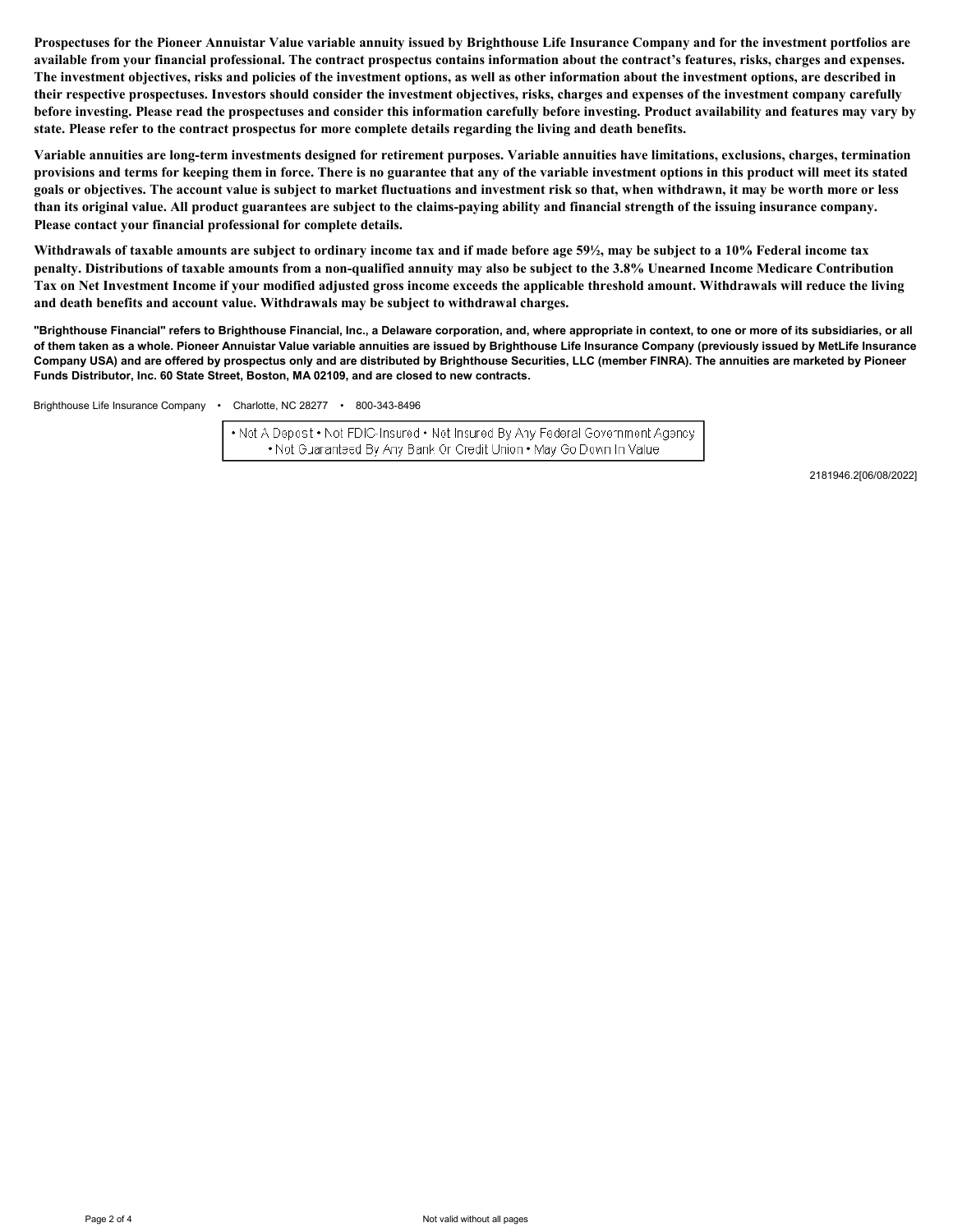**Prospectuses for the Pioneer Annuistar Value variable annuity issued by Brighthouse Life Insurance Company and for the investment portfolios are**  available from your financial professional. The contract prospectus contains information about the contract's features, risks, charges and expenses. **The investment objectives, risks and policies of the investment options, as well as other information about the investment options, are described in their respective prospectuses. Investors should consider the investment objectives, risks, charges and expenses of the investment company carefully before investing. Please read the prospectuses and consider this information carefully before investing. Product availability and features may vary by state. Please refer to the contract prospectus for more complete details regarding the living and death benefits.** 

**Variable annuities are long-term investments designed for retirement purposes. Variable annuities have limitations, exclusions, charges, termination provisions and terms for keeping them in force. There is no guarantee that any of the variable investment options in this product will meet its stated goals or objectives. The account value is subject to market fluctuations and investment risk so that, when withdrawn, it may be worth more or less than its original value. All product guarantees are subject to the claims-paying ability and financial strength of the issuing insurance company. Please contact your financial professional for complete details.**

**Withdrawals of taxable amounts are subject to ordinary income tax and if made before age 59½, may be subject to a 10% Federal income tax penalty. Distributions of taxable amounts from a non-qualified annuity may also be subject to the 3.8% Unearned Income Medicare Contribution Tax on Net Investment Income if your modified adjusted gross income exceeds the applicable threshold amount. Withdrawals will reduce the living and death benefits and account value. Withdrawals may be subject to withdrawal charges.**

**"Brighthouse Financial" refers to Brighthouse Financial, Inc., a Delaware corporation, and, where appropriate in context, to one or more of its subsidiaries, or all of them taken as a whole. Pioneer Annuistar Value variable annuities are issued by Brighthouse Life Insurance Company (previously issued by MetLife Insurance Company USA) and are offered by prospectus only and are distributed by Brighthouse Securities, LLC (member FINRA). The annuities are marketed by Pioneer Funds Distributor, Inc. 60 State Street, Boston, MA 02109, and are closed to new contracts.**

Brighthouse Life Insurance Company • Charlotte, NC 28277 • 800-343-8496

• Net A Depost • Not FDIC-Insured • Net Insured By Any Federal Government Agency . Not Guaranteed By Any Bank Or Credit Union . May Go Down In Value

2181946.2[06/08/2022]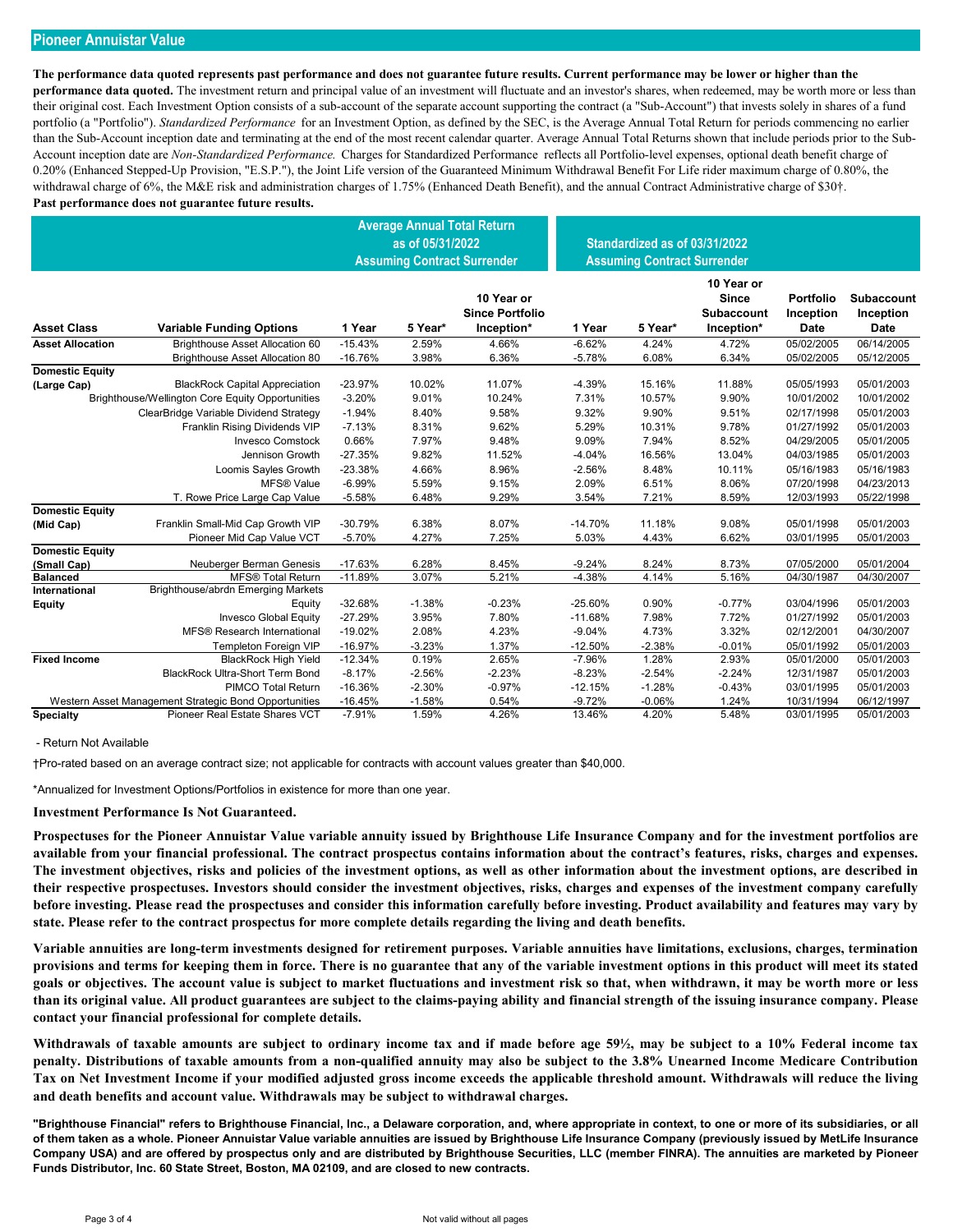## **Pioneer Annuistar Value**

**The performance data quoted represents past performance and does not guarantee future results. Current performance may be lower or higher than the performance data quoted.** The investment return and principal value of an investment will fluctuate and an investor's shares, when redeemed, may be worth more or less than their original cost. Each Investment Option consists of a sub-account of the separate account supporting the contract (a "Sub-Account") that invests solely in shares of a fund portfolio (a "Portfolio"). *Standardized Performance* for an Investment Option, as defined by the SEC, is the Average Annual Total Return for periods commencing no earlier than the Sub-Account inception date and terminating at the end of the most recent calendar quarter. Average Annual Total Returns shown that include periods prior to the Sub-Account inception date are *Non-Standardized Performance.* Charges for Standardized Performance reflects all Portfolio-level expenses, optional death benefit charge of 0.20% (Enhanced Stepped-Up Provision, "E.S.P."), the Joint Life version of the Guaranteed Minimum Withdrawal Benefit For Life rider maximum charge of 0.80%, the withdrawal charge of 6%, the M&E risk and administration charges of 1.75% (Enhanced Death Benefit), and the annual Contract Administrative charge of \$30†. **Past performance does not guarantee future results.**

|                         |                                                       | <b>Average Annual Total Return</b><br>as of 05/31/2022<br><b>Assuming Contract Surrender</b> |          |                                                    |           | Standardized as of 03/31/2022<br><b>Assuming Contract Surrender</b> |                                                        |                                |                                               |
|-------------------------|-------------------------------------------------------|----------------------------------------------------------------------------------------------|----------|----------------------------------------------------|-----------|---------------------------------------------------------------------|--------------------------------------------------------|--------------------------------|-----------------------------------------------|
| <b>Asset Class</b>      | <b>Variable Funding Options</b>                       | 1 Year                                                                                       | 5 Year*  | 10 Year or<br><b>Since Portfolio</b><br>Inception* | 1 Year    | 5 Year*                                                             | 10 Year or<br>Since<br><b>Subaccount</b><br>Inception* | Portfolio<br>Inception<br>Date | <b>Subaccount</b><br>Inception<br><b>Date</b> |
| <b>Asset Allocation</b> | Brighthouse Asset Allocation 60                       | $-15.43%$                                                                                    | 2.59%    | 4.66%                                              | $-6.62%$  | 4.24%                                                               | 4.72%                                                  | 05/02/2005                     | 06/14/2005                                    |
|                         | <b>Brighthouse Asset Allocation 80</b>                | $-16.76%$                                                                                    | 3.98%    | 6.36%                                              | $-5.78%$  | 6.08%                                                               | 6.34%                                                  | 05/02/2005                     | 05/12/2005                                    |
| <b>Domestic Equity</b>  |                                                       |                                                                                              |          |                                                    |           |                                                                     |                                                        |                                |                                               |
| (Large Cap)             | <b>BlackRock Capital Appreciation</b>                 | $-23.97%$                                                                                    | 10.02%   | 11.07%                                             | $-4.39%$  | 15.16%                                                              | 11.88%                                                 | 05/05/1993                     | 05/01/2003                                    |
|                         | Brighthouse/Wellington Core Equity Opportunities      | $-3.20%$                                                                                     | 9.01%    | 10.24%                                             | 7.31%     | 10.57%                                                              | 9.90%                                                  | 10/01/2002                     | 10/01/2002                                    |
|                         | ClearBridge Variable Dividend Strategy                | $-1.94%$                                                                                     | 8.40%    | 9.58%                                              | 9.32%     | 9.90%                                                               | 9.51%                                                  | 02/17/1998                     | 05/01/2003                                    |
|                         | Franklin Rising Dividends VIP                         | $-7.13%$                                                                                     | 8.31%    | 9.62%                                              | 5.29%     | 10.31%                                                              | 9.78%                                                  | 01/27/1992                     | 05/01/2003                                    |
|                         | <b>Invesco Comstock</b>                               | 0.66%                                                                                        | 7.97%    | 9.48%                                              | 9.09%     | 7.94%                                                               | 8.52%                                                  | 04/29/2005                     | 05/01/2005                                    |
|                         | Jennison Growth                                       | $-27.35%$                                                                                    | 9.82%    | 11.52%                                             | $-4.04%$  | 16.56%                                                              | 13.04%                                                 | 04/03/1985                     | 05/01/2003                                    |
|                         | Loomis Sayles Growth                                  | $-23.38%$                                                                                    | 4.66%    | 8.96%                                              | $-2.56%$  | 8.48%                                                               | 10.11%                                                 | 05/16/1983                     | 05/16/1983                                    |
|                         | <b>MFS® Value</b>                                     | $-6.99%$                                                                                     | 5.59%    | 9.15%                                              | 2.09%     | 6.51%                                                               | 8.06%                                                  | 07/20/1998                     | 04/23/2013                                    |
|                         | T. Rowe Price Large Cap Value                         | $-5.58%$                                                                                     | 6.48%    | 9.29%                                              | 3.54%     | 7.21%                                                               | 8.59%                                                  | 12/03/1993                     | 05/22/1998                                    |
| <b>Domestic Equity</b>  |                                                       |                                                                                              |          |                                                    |           |                                                                     |                                                        |                                |                                               |
| (Mid Cap)               | Franklin Small-Mid Cap Growth VIP                     | $-30.79%$                                                                                    | 6.38%    | 8.07%                                              | $-14.70%$ | 11.18%                                                              | 9.08%                                                  | 05/01/1998                     | 05/01/2003                                    |
|                         | Pioneer Mid Cap Value VCT                             | $-5.70%$                                                                                     | 4.27%    | 7.25%                                              | 5.03%     | 4.43%                                                               | 6.62%                                                  | 03/01/1995                     | 05/01/2003                                    |
| <b>Domestic Equity</b>  |                                                       |                                                                                              |          |                                                    |           |                                                                     |                                                        |                                |                                               |
| (Small Cap)             | Neuberger Berman Genesis                              | $-17.63%$                                                                                    | 6.28%    | 8.45%                                              | $-9.24%$  | 8.24%                                                               | 8.73%                                                  | 07/05/2000                     | 05/01/2004                                    |
| <b>Balanced</b>         | <b>MFS® Total Return</b>                              | $-11.89%$                                                                                    | 3.07%    | 5.21%                                              | $-4.38%$  | 4.14%                                                               | 5.16%                                                  | 04/30/1987                     | 04/30/2007                                    |
| <b>International</b>    | Brighthouse/abrdn Emerging Markets                    |                                                                                              |          |                                                    |           |                                                                     |                                                        |                                |                                               |
| <b>Equity</b>           | Equity                                                | $-32.68%$                                                                                    | $-1.38%$ | $-0.23%$                                           | $-25.60%$ | 0.90%                                                               | $-0.77%$                                               | 03/04/1996                     | 05/01/2003                                    |
|                         | <b>Invesco Global Equity</b>                          | $-27.29%$                                                                                    | 3.95%    | 7.80%                                              | $-11.68%$ | 7.98%                                                               | 7.72%                                                  | 01/27/1992                     | 05/01/2003                                    |
|                         | <b>MFS® Research International</b>                    | $-19.02%$                                                                                    | 2.08%    | 4.23%                                              | $-9.04%$  | 4.73%                                                               | 3.32%                                                  | 02/12/2001                     | 04/30/2007                                    |
|                         | <b>Templeton Foreign VIP</b>                          | $-16.97%$                                                                                    | $-3.23%$ | 1.37%                                              | $-12.50%$ | $-2.38%$                                                            | $-0.01%$                                               | 05/01/1992                     | 05/01/2003                                    |
| <b>Fixed Income</b>     | <b>BlackRock High Yield</b>                           | $-12.34%$                                                                                    | 0.19%    | 2.65%                                              | $-7.96%$  | 1.28%                                                               | 2.93%                                                  | 05/01/2000                     | 05/01/2003                                    |
|                         | <b>BlackRock Ultra-Short Term Bond</b>                | $-8.17%$                                                                                     | $-2.56%$ | $-2.23%$                                           | $-8.23%$  | $-2.54%$                                                            | $-2.24%$                                               | 12/31/1987                     | 05/01/2003                                    |
|                         | PIMCO Total Return                                    | $-16.36%$                                                                                    | $-2.30%$ | $-0.97%$                                           | $-12.15%$ | $-1.28%$                                                            | $-0.43%$                                               | 03/01/1995                     | 05/01/2003                                    |
|                         | Western Asset Management Strategic Bond Opportunities | $-16.45%$                                                                                    | $-1.58%$ | 0.54%                                              | $-9.72%$  | $-0.06%$                                                            | 1.24%                                                  | 10/31/1994                     | 06/12/1997                                    |
| <b>Specialty</b>        | Pioneer Real Estate Shares VCT                        | $-7.91%$                                                                                     | 1.59%    | 4.26%                                              | 13.46%    | 4.20%                                                               | 5.48%                                                  | 03/01/1995                     | 05/01/2003                                    |

### - Return Not Available

†Pro-rated based on an average contract size; not applicable for contracts with account values greater than \$40,000.

\*Annualized for Investment Options/Portfolios in existence for more than one year.

### **Investment Performance Is Not Guaranteed.**

**Prospectuses for the Pioneer Annuistar Value variable annuity issued by Brighthouse Life Insurance Company and for the investment portfolios are available from your financial professional. The contract prospectus contains information about the contract's features, risks, charges and expenses. The investment objectives, risks and policies of the investment options, as well as other information about the investment options, are described in their respective prospectuses. Investors should consider the investment objectives, risks, charges and expenses of the investment company carefully before investing. Please read the prospectuses and consider this information carefully before investing. Product availability and features may vary by state. Please refer to the contract prospectus for more complete details regarding the living and death benefits.** 

**Variable annuities are long-term investments designed for retirement purposes. Variable annuities have limitations, exclusions, charges, termination provisions and terms for keeping them in force. There is no guarantee that any of the variable investment options in this product will meet its stated goals or objectives. The account value is subject to market fluctuations and investment risk so that, when withdrawn, it may be worth more or less than its original value. All product guarantees are subject to the claims-paying ability and financial strength of the issuing insurance company. Please contact your financial professional for complete details.**

**Withdrawals of taxable amounts are subject to ordinary income tax and if made before age 59½, may be subject to a 10% Federal income tax penalty. Distributions of taxable amounts from a non-qualified annuity may also be subject to the 3.8% Unearned Income Medicare Contribution Tax on Net Investment Income if your modified adjusted gross income exceeds the applicable threshold amount. Withdrawals will reduce the living and death benefits and account value. Withdrawals may be subject to withdrawal charges.**

**"Brighthouse Financial" refers to Brighthouse Financial, Inc., a Delaware corporation, and, where appropriate in context, to one or more of its subsidiaries, or all of them taken as a whole. Pioneer Annuistar Value variable annuities are issued by Brighthouse Life Insurance Company (previously issued by MetLife Insurance Company USA) and are offered by prospectus only and are distributed by Brighthouse Securities, LLC (member FINRA). The annuities are marketed by Pioneer Funds Distributor, Inc. 60 State Street, Boston, MA 02109, and are closed to new contracts.**